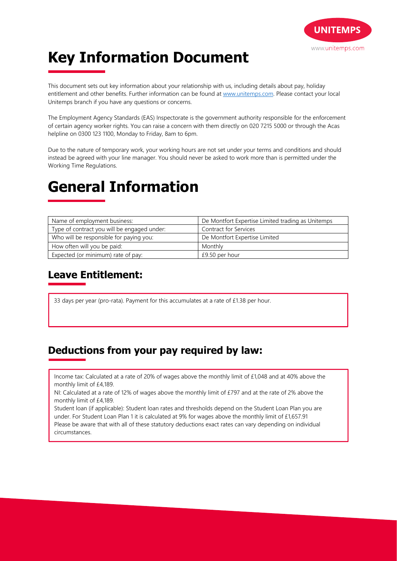

# **Key Information Document**

This document sets out key information about your relationship with us, including details about pay, holiday entitlement and other benefits. Further information can be found at www.unitemps.com. Please contact your local Unitemps branch if you have any questions or concerns.

The Employment Agency Standards (EAS) Inspectorate is the government authority responsible for the enforcement of certain agency worker rights. You can raise a concern with them directly on 020 7215 5000 or through the Acas helpline on 0300 123 1100, Monday to Friday, 8am to 6pm.

Due to the nature of temporary work, your working hours are not set under your terms and conditions and should instead be agreed with your line manager. You should never be asked to work more than is permitted under the Working Time Regulations.

# **General Information**

| Name of employment business:                | De Montfort Expertise Limited trading as Unitemps |
|---------------------------------------------|---------------------------------------------------|
| Type of contract you will be engaged under: | Contract for Services                             |
| Who will be responsible for paying you:     | De Montfort Expertise Limited                     |
| How often will you be paid:                 | Monthly                                           |
| Expected (or minimum) rate of pay:          | £9.50 per hour                                    |

### **Leave Entitlement:**

33 days per year (pro-rata). Payment for this accumulates at a rate of £1.38 per hour.

### **Deductions from your pay required by law:**

Income tax: Calculated at a rate of 20% of wages above the monthly limit of £1,048 and at 40% above the monthly limit of £4,189.

NI: Calculated at a rate of 12% of wages above the monthly limit of £797 and at the rate of 2% above the monthly limit of £4,189.

Student loan (if applicable): Student loan rates and thresholds depend on the Student Loan Plan you are under. For Student Loan Plan 1 it is calculated at 9% for wages above the monthly limit of £1,657.91

Please be aware that with all of these statutory deductions exact rates can vary depending on individual circumstances.